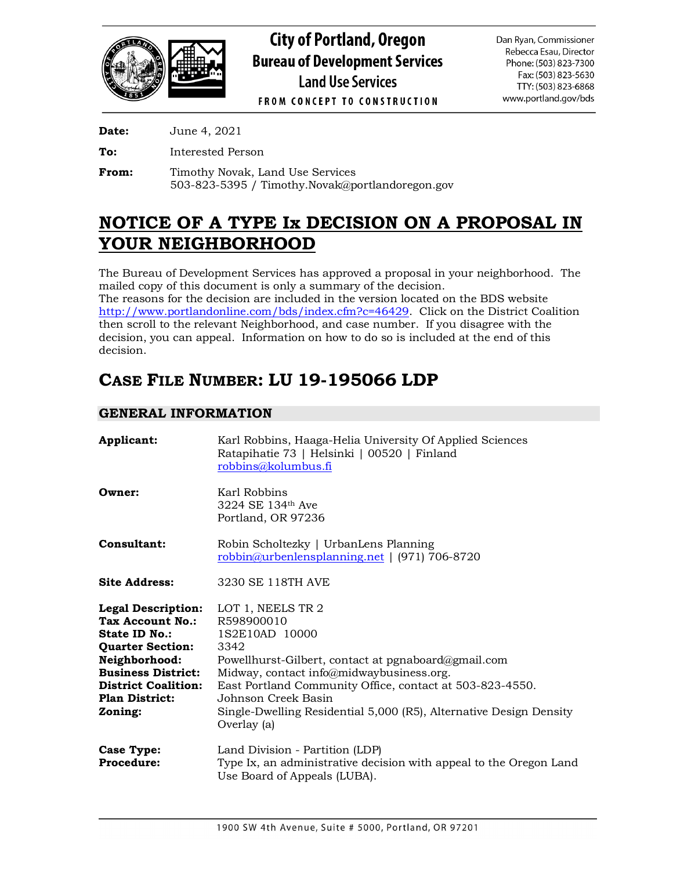

**Date:** June 4, 2021

**To:** Interested Person

**From:** Timothy Novak, Land Use Services 503-823-5395 / Timothy.Novak@portlandoregon.gov

## **NOTICE OF A TYPE Ix DECISION ON A PROPOSAL IN YOUR NEIGHBORHOOD**

The Bureau of Development Services has approved a proposal in your neighborhood. The mailed copy of this document is only a summary of the decision.

The reasons for the decision are included in the version located on the BDS website [http://www.portlandonline.com/bds/index.cfm?c=46429.](http://www.portlandonline.com/bds/index.cfm?c=46429) Click on the District Coalition then scroll to the relevant Neighborhood, and case number. If you disagree with the decision, you can appeal. Information on how to do so is included at the end of this decision.

# **CASE FILE NUMBER: LU 19-195066 LDP**

## **GENERAL INFORMATION**

| Applicant:                                                                                                                                                                                                | Karl Robbins, Haaga-Helia University Of Applied Sciences<br>Ratapihatie 73   Helsinki   00520   Finland<br>robbins@kolumbus.fi                                                                                                                                                                                                       |
|-----------------------------------------------------------------------------------------------------------------------------------------------------------------------------------------------------------|--------------------------------------------------------------------------------------------------------------------------------------------------------------------------------------------------------------------------------------------------------------------------------------------------------------------------------------|
| Owner:                                                                                                                                                                                                    | Karl Robbins<br>3224 SE 134th Ave<br>Portland, OR 97236                                                                                                                                                                                                                                                                              |
| Consultant:                                                                                                                                                                                               | Robin Scholtezky   UrbanLens Planning<br>$\frac{\text{robbin}(\alpha)}{2}$ urbenlensplanning.net   (971) 706-8720                                                                                                                                                                                                                    |
| <b>Site Address:</b>                                                                                                                                                                                      | 3230 SE 118TH AVE                                                                                                                                                                                                                                                                                                                    |
| <b>Legal Description:</b><br>Tax Account No.:<br>State ID No.:<br><b>Quarter Section:</b><br>Neighborhood:<br><b>Business District:</b><br><b>District Coalition:</b><br><b>Plan District:</b><br>Zoning: | LOT 1, NEELS TR 2<br>R598900010<br>1S2E10AD 10000<br>3342<br>Powellhurst-Gilbert, contact at pgnaboard@gmail.com<br>Midway, contact info@midwaybusiness.org.<br>East Portland Community Office, contact at 503-823-4550.<br>Johnson Creek Basin<br>Single-Dwelling Residential 5,000 (R5), Alternative Design Density<br>Overlay (a) |
| Case Type:<br>Procedure:                                                                                                                                                                                  | Land Division - Partition (LDP)<br>Type Ix, an administrative decision with appeal to the Oregon Land<br>Use Board of Appeals (LUBA).                                                                                                                                                                                                |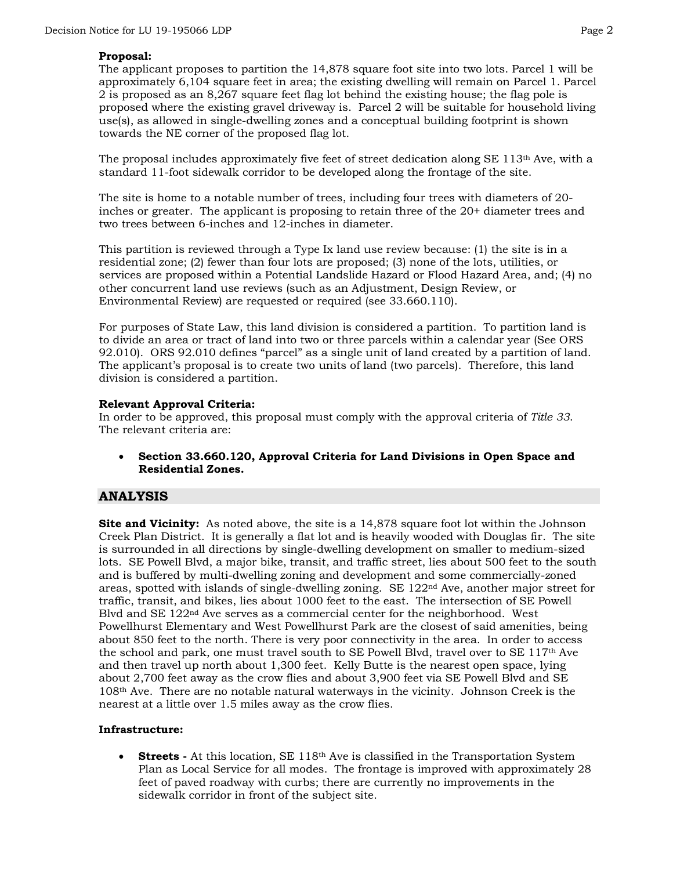#### **Proposal:**

The applicant proposes to partition the 14,878 square foot site into two lots. Parcel 1 will be approximately 6,104 square feet in area; the existing dwelling will remain on Parcel 1. Parcel 2 is proposed as an 8,267 square feet flag lot behind the existing house; the flag pole is proposed where the existing gravel driveway is. Parcel 2 will be suitable for household living use(s), as allowed in single-dwelling zones and a conceptual building footprint is shown towards the NE corner of the proposed flag lot.

The proposal includes approximately five feet of street dedication along SE  $113<sup>th</sup>$  Ave, with a standard 11-foot sidewalk corridor to be developed along the frontage of the site.

The site is home to a notable number of trees, including four trees with diameters of 20 inches or greater. The applicant is proposing to retain three of the 20+ diameter trees and two trees between 6-inches and 12-inches in diameter.

This partition is reviewed through a Type Ix land use review because: (1) the site is in a residential zone; (2) fewer than four lots are proposed; (3) none of the lots, utilities, or services are proposed within a Potential Landslide Hazard or Flood Hazard Area, and; (4) no other concurrent land use reviews (such as an Adjustment, Design Review, or Environmental Review) are requested or required (see 33.660.110).

For purposes of State Law, this land division is considered a partition. To partition land is to divide an area or tract of land into two or three parcels within a calendar year (See ORS 92.010). ORS 92.010 defines "parcel" as a single unit of land created by a partition of land. The applicant's proposal is to create two units of land (two parcels). Therefore, this land division is considered a partition.

### **Relevant Approval Criteria:**

In order to be approved, this proposal must comply with the approval criteria of *Title 33*. The relevant criteria are:

• **Section 33.660.120, Approval Criteria for Land Divisions in Open Space and Residential Zones.**

## **ANALYSIS**

**Site and Vicinity:** As noted above, the site is a 14,878 square foot lot within the Johnson Creek Plan District. It is generally a flat lot and is heavily wooded with Douglas fir. The site is surrounded in all directions by single-dwelling development on smaller to medium-sized lots. SE Powell Blvd, a major bike, transit, and traffic street, lies about 500 feet to the south and is buffered by multi-dwelling zoning and development and some commercially-zoned areas, spotted with islands of single-dwelling zoning. SE 122nd Ave, another major street for traffic, transit, and bikes, lies about 1000 feet to the east. The intersection of SE Powell Blvd and SE 122nd Ave serves as a commercial center for the neighborhood. West Powellhurst Elementary and West Powellhurst Park are the closest of said amenities, being about 850 feet to the north. There is very poor connectivity in the area. In order to access the school and park, one must travel south to SE Powell Blvd, travel over to SE 117th Ave and then travel up north about 1,300 feet. Kelly Butte is the nearest open space, lying about 2,700 feet away as the crow flies and about 3,900 feet via SE Powell Blvd and SE 108th Ave. There are no notable natural waterways in the vicinity. Johnson Creek is the nearest at a little over 1.5 miles away as the crow flies.

#### **Infrastructure:**

• **Streets** - At this location, SE 118<sup>th</sup> Ave is classified in the Transportation System Plan as Local Service for all modes. The frontage is improved with approximately 28 feet of paved roadway with curbs; there are currently no improvements in the sidewalk corridor in front of the subject site.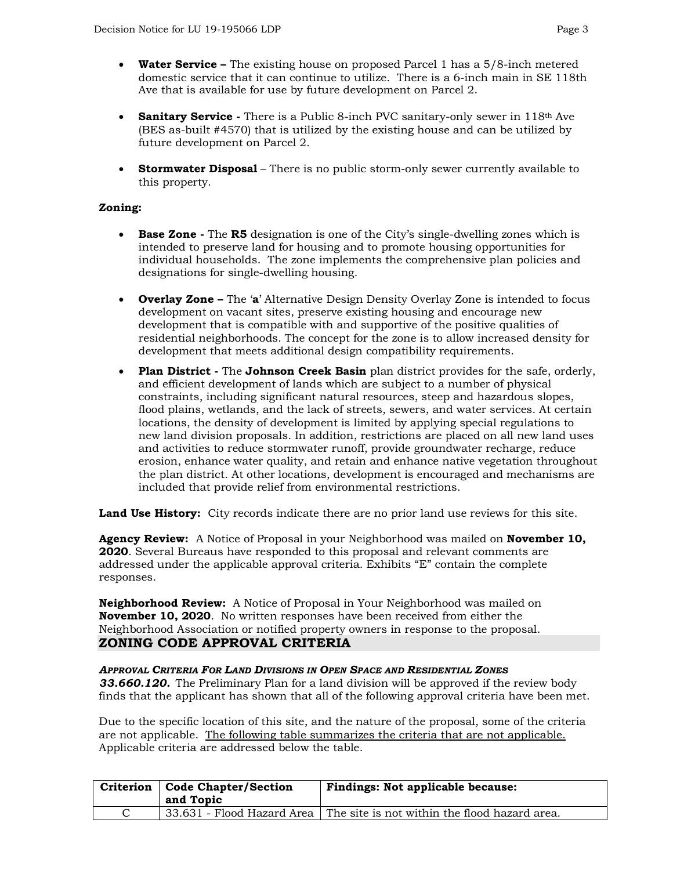- **Water Service –** The existing house on proposed Parcel 1 has a 5/8-inch metered domestic service that it can continue to utilize. There is a 6-inch main in SE 118th Ave that is available for use by future development on Parcel 2.
- **Sanitary Service** There is a Public 8-inch PVC sanitary-only sewer in 118<sup>th</sup> Ave (BES as-built #4570) that is utilized by the existing house and can be utilized by future development on Parcel 2.
- **Stormwater Disposal** There is no public storm-only sewer currently available to this property.

## **Zoning:**

- **Base Zone -** The **R5** designation is one of the City's single-dwelling zones which is intended to preserve land for housing and to promote housing opportunities for individual households. The zone implements the comprehensive plan policies and designations for single-dwelling housing.
- **Overlay Zone –** The '**a**' Alternative Design Density Overlay Zone is intended to focus development on vacant sites, preserve existing housing and encourage new development that is compatible with and supportive of the positive qualities of residential neighborhoods. The concept for the zone is to allow increased density for development that meets additional design compatibility requirements.
- **Plan District -** The **Johnson Creek Basin** plan district provides for the safe, orderly, and efficient development of lands which are subject to a number of physical constraints, including significant natural resources, steep and hazardous slopes, flood plains, wetlands, and the lack of streets, sewers, and water services. At certain locations, the density of development is limited by applying special regulations to new land division proposals. In addition, restrictions are placed on all new land uses and activities to reduce stormwater runoff, provide groundwater recharge, reduce erosion, enhance water quality, and retain and enhance native vegetation throughout the plan district. At other locations, development is encouraged and mechanisms are included that provide relief from environmental restrictions.

Land Use History: City records indicate there are no prior land use reviews for this site.

**Agency Review:** A Notice of Proposal in your Neighborhood was mailed on **November 10, 2020**. Several Bureaus have responded to this proposal and relevant comments are addressed under the applicable approval criteria. Exhibits "E" contain the complete responses.

**Neighborhood Review:** A Notice of Proposal in Your Neighborhood was mailed on **November 10, 2020**. No written responses have been received from either the Neighborhood Association or notified property owners in response to the proposal. **ZONING CODE APPROVAL CRITERIA**

*APPROVAL CRITERIA FOR LAND DIVISIONS IN OPEN SPACE AND RESIDENTIAL ZONES 33.660.120.* The Preliminary Plan for a land division will be approved if the review body finds that the applicant has shown that all of the following approval criteria have been met.

Due to the specific location of this site, and the nature of the proposal, some of the criteria are not applicable. The following table summarizes the criteria that are not applicable. Applicable criteria are addressed below the table.

| Criterion   Code Chapter/Section<br>and Topic | <b>Findings: Not applicable because:</b>                                   |
|-----------------------------------------------|----------------------------------------------------------------------------|
|                                               | 33.631 - Flood Hazard Area   The site is not within the flood hazard area. |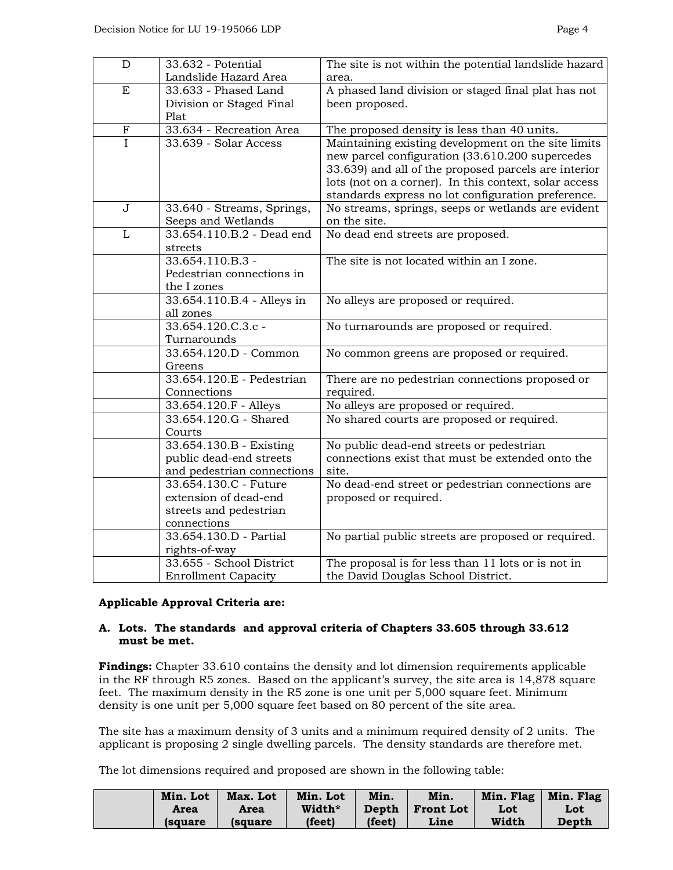| D                         | 33.632 - Potential                      | The site is not within the potential landslide hazard |  |  |
|---------------------------|-----------------------------------------|-------------------------------------------------------|--|--|
|                           | Landslide Hazard Area                   | area.                                                 |  |  |
| E                         | $33.633$ - Phased Land                  | A phased land division or staged final plat has not   |  |  |
|                           | Division or Staged Final                | been proposed.                                        |  |  |
|                           | Plat                                    |                                                       |  |  |
| $\boldsymbol{\mathrm{F}}$ | 33.634 - Recreation Area                | The proposed density is less than 40 units.           |  |  |
| $\overline{I}$            | 33.639 - Solar Access                   | Maintaining existing development on the site limits   |  |  |
|                           |                                         | new parcel configuration (33.610.200 supercedes       |  |  |
|                           |                                         | 33.639) and all of the proposed parcels are interior  |  |  |
|                           |                                         | lots (not on a corner). In this context, solar access |  |  |
|                           |                                         | standards express no lot configuration preference.    |  |  |
| J                         | 33.640 - Streams, Springs,              | No streams, springs, seeps or wetlands are evident    |  |  |
|                           | Seeps and Wetlands                      | on the site.                                          |  |  |
| L                         | 33.654.110.B.2 - Dead end               | No dead end streets are proposed.                     |  |  |
|                           | streets                                 |                                                       |  |  |
|                           | 33.654.110.B.3 -                        | The site is not located within an I zone.             |  |  |
|                           | Pedestrian connections in               |                                                       |  |  |
|                           | the I zones                             |                                                       |  |  |
|                           | 33.654.110.B.4 - Alleys in<br>all zones | No alleys are proposed or required.                   |  |  |
|                           | 33.654.120.C.3.c -                      | No turnarounds are proposed or required.              |  |  |
|                           | Turnarounds                             |                                                       |  |  |
|                           | 33.654.120.D - Common                   | No common greens are proposed or required.            |  |  |
|                           | Greens                                  |                                                       |  |  |
|                           | 33.654.120.E - Pedestrian               | There are no pedestrian connections proposed or       |  |  |
|                           | Connections                             | required.                                             |  |  |
|                           | 33.654.120.F - Alleys                   | No alleys are proposed or required.                   |  |  |
|                           | 33.654.120.G - Shared                   | No shared courts are proposed or required.            |  |  |
|                           | Courts                                  |                                                       |  |  |
|                           | 33.654.130.B - Existing                 | No public dead-end streets or pedestrian              |  |  |
|                           | public dead-end streets                 | connections exist that must be extended onto the      |  |  |
|                           | and pedestrian connections              | site.                                                 |  |  |
|                           | 33.654.130.C - Future                   | No dead-end street or pedestrian connections are      |  |  |
|                           | extension of dead-end                   | proposed or required.                                 |  |  |
|                           | streets and pedestrian                  |                                                       |  |  |
|                           | connections                             |                                                       |  |  |
|                           | 33.654.130.D - Partial                  | No partial public streets are proposed or required.   |  |  |
|                           | rights-of-way                           |                                                       |  |  |
|                           | 33.655 - School District                | The proposal is for less than 11 lots or is not in    |  |  |
|                           | <b>Enrollment Capacity</b>              | the David Douglas School District.                    |  |  |

#### **Applicable Approval Criteria are:**

## **A. Lots. The standards and approval criteria of Chapters 33.605 through 33.612 must be met.**

**Findings:** Chapter 33.610 contains the density and lot dimension requirements applicable in the RF through R5 zones. Based on the applicant's survey, the site area is 14,878 square feet. The maximum density in the R5 zone is one unit per 5,000 square feet. Minimum density is one unit per 5,000 square feet based on 80 percent of the site area.

The site has a maximum density of 3 units and a minimum required density of 2 units. The applicant is proposing 2 single dwelling parcels. The density standards are therefore met.

The lot dimensions required and proposed are shown in the following table:

| Min. Lot       | Max. Lot       | Min. Lot | Min.   | Min.              | Min. Flag | Min. Flag |
|----------------|----------------|----------|--------|-------------------|-----------|-----------|
| <b>Area</b>    | Area           | Width*   |        | Depth   Front Lot | Lot       | Lot       |
| <i>s</i> quare | <i>s</i> quare | (feet)   | (feet) | Line              | Width     | Depth     |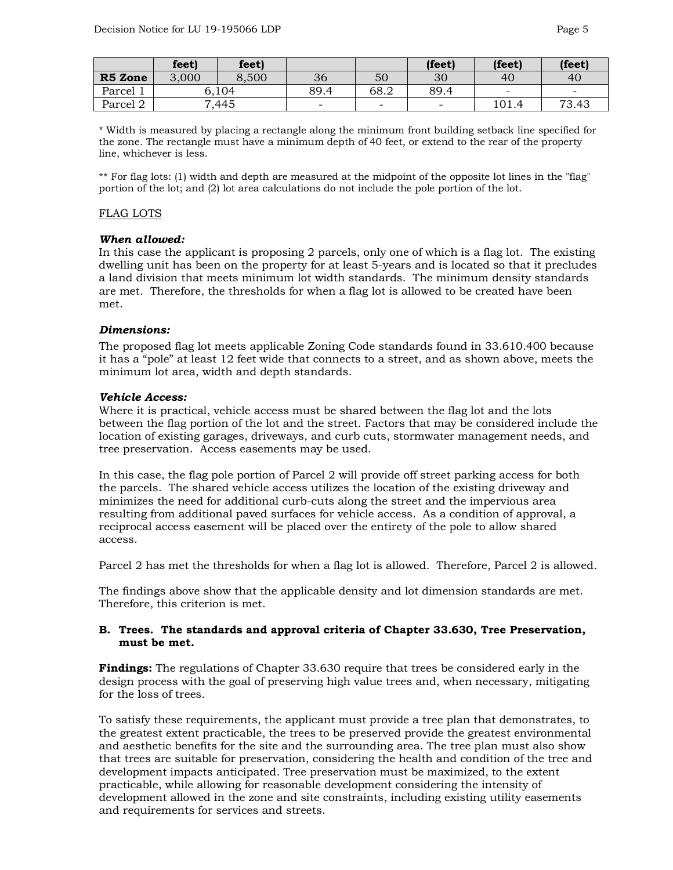|          | feet) | feet) |                          |                          | (feet)                       | (feet)                                    | (feet)                   |
|----------|-------|-------|--------------------------|--------------------------|------------------------------|-------------------------------------------|--------------------------|
| R5 Zone  | 3,000 | 8,500 | 36                       | 50                       | 30                           | 40                                        | 40                       |
| Parcel 1 |       | 6,104 | 89.4                     | 68.2                     | 89.4                         | -                                         | $\overline{\phantom{a}}$ |
| Parcel 2 |       | 7,445 | $\overline{\phantom{0}}$ | $\overline{\phantom{0}}$ | $\qquad \qquad \blacksquare$ | $1^{\prime}$ $\cap$ $1^{\prime}$<br>101.4 | 73.43                    |

\* Width is measured by placing a rectangle along the minimum front building setback line specified for the zone. The rectangle must have a minimum depth of 40 feet, or extend to the rear of the property line, whichever is less.

\*\* For flag lots: (1) width and depth are measured at the midpoint of the opposite lot lines in the "flag" portion of the lot; and (2) lot area calculations do not include the pole portion of the lot.

#### FLAG LOTS

#### *When allowed:*

In this case the applicant is proposing 2 parcels, only one of which is a flag lot. The existing dwelling unit has been on the property for at least 5-years and is located so that it precludes a land division that meets minimum lot width standards. The minimum density standards are met. Therefore, the thresholds for when a flag lot is allowed to be created have been met.

#### *Dimensions:*

The proposed flag lot meets applicable Zoning Code standards found in 33.610.400 because it has a "pole" at least 12 feet wide that connects to a street, and as shown above, meets the minimum lot area, width and depth standards.

#### *Vehicle Access:*

Where it is practical, vehicle access must be shared between the flag lot and the lots between the flag portion of the lot and the street. Factors that may be considered include the location of existing garages, driveways, and curb cuts, stormwater management needs, and tree preservation. Access easements may be used.

In this case, the flag pole portion of Parcel 2 will provide off street parking access for both the parcels. The shared vehicle access utilizes the location of the existing driveway and minimizes the need for additional curb-cuts along the street and the impervious area resulting from additional paved surfaces for vehicle access. As a condition of approval, a reciprocal access easement will be placed over the entirety of the pole to allow shared access.

Parcel 2 has met the thresholds for when a flag lot is allowed. Therefore, Parcel 2 is allowed.

The findings above show that the applicable density and lot dimension standards are met. Therefore, this criterion is met.

#### **B. Trees. The standards and approval criteria of Chapter 33.630, Tree Preservation, must be met.**

**Findings:** The regulations of Chapter 33.630 require that trees be considered early in the design process with the goal of preserving high value trees and, when necessary, mitigating for the loss of trees.

To satisfy these requirements, the applicant must provide a tree plan that demonstrates, to the greatest extent practicable, the trees to be preserved provide the greatest environmental and aesthetic benefits for the site and the surrounding area. The tree plan must also show that trees are suitable for preservation, considering the health and condition of the tree and development impacts anticipated. Tree preservation must be maximized, to the extent practicable, while allowing for reasonable development considering the intensity of development allowed in the zone and site constraints, including existing utility easements and requirements for services and streets.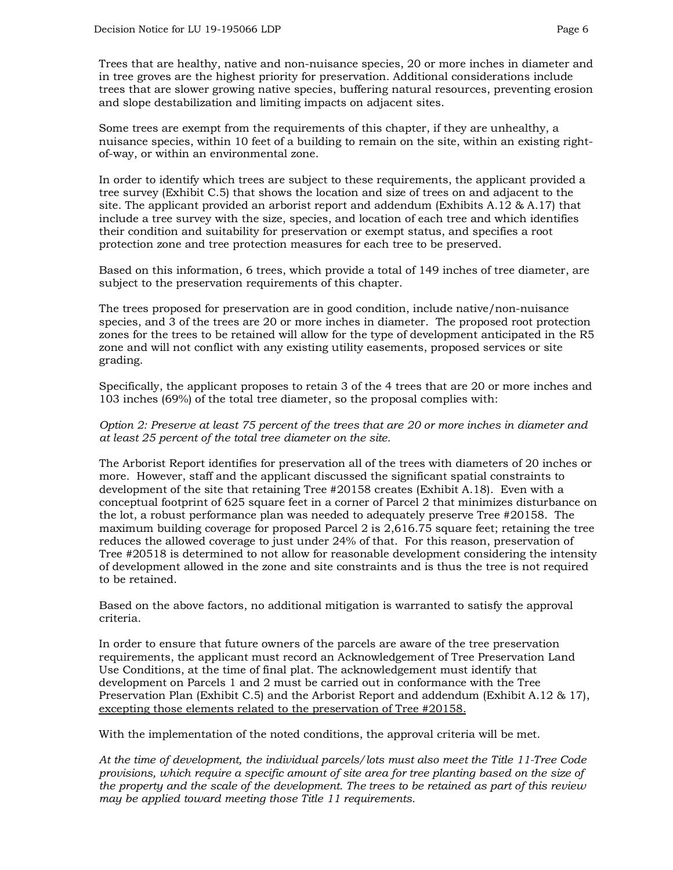Trees that are healthy, native and non-nuisance species, 20 or more inches in diameter and in tree groves are the highest priority for preservation. Additional considerations include trees that are slower growing native species, buffering natural resources, preventing erosion and slope destabilization and limiting impacts on adjacent sites.

Some trees are exempt from the requirements of this chapter, if they are unhealthy, a nuisance species, within 10 feet of a building to remain on the site, within an existing rightof-way, or within an environmental zone.

In order to identify which trees are subject to these requirements, the applicant provided a tree survey (Exhibit C.5) that shows the location and size of trees on and adjacent to the site. The applicant provided an arborist report and addendum (Exhibits A.12 & A.17) that include a tree survey with the size, species, and location of each tree and which identifies their condition and suitability for preservation or exempt status, and specifies a root protection zone and tree protection measures for each tree to be preserved.

Based on this information, 6 trees, which provide a total of 149 inches of tree diameter, are subject to the preservation requirements of this chapter.

The trees proposed for preservation are in good condition, include native/non-nuisance species, and 3 of the trees are 20 or more inches in diameter. The proposed root protection zones for the trees to be retained will allow for the type of development anticipated in the R5 zone and will not conflict with any existing utility easements, proposed services or site grading.

Specifically, the applicant proposes to retain 3 of the 4 trees that are 20 or more inches and 103 inches (69%) of the total tree diameter, so the proposal complies with:

*Option 2: Preserve at least 75 percent of the trees that are 20 or more inches in diameter and at least 25 percent of the total tree diameter on the site.*

The Arborist Report identifies for preservation all of the trees with diameters of 20 inches or more. However, staff and the applicant discussed the significant spatial constraints to development of the site that retaining Tree #20158 creates (Exhibit A.18). Even with a conceptual footprint of 625 square feet in a corner of Parcel 2 that minimizes disturbance on the lot, a robust performance plan was needed to adequately preserve Tree #20158. The maximum building coverage for proposed Parcel 2 is 2,616.75 square feet; retaining the tree reduces the allowed coverage to just under 24% of that. For this reason, preservation of Tree #20518 is determined to not allow for reasonable development considering the intensity of development allowed in the zone and site constraints and is thus the tree is not required to be retained.

Based on the above factors, no additional mitigation is warranted to satisfy the approval criteria.

In order to ensure that future owners of the parcels are aware of the tree preservation requirements, the applicant must record an Acknowledgement of Tree Preservation Land Use Conditions, at the time of final plat. The acknowledgement must identify that development on Parcels 1 and 2 must be carried out in conformance with the Tree Preservation Plan (Exhibit C.5) and the Arborist Report and addendum (Exhibit A.12 & 17), excepting those elements related to the preservation of Tree #20158.

With the implementation of the noted conditions, the approval criteria will be met.

*At the time of development, the individual parcels/lots must also meet the Title 11-Tree Code provisions, which require a specific amount of site area for tree planting based on the size of the property and the scale of the development. The trees to be retained as part of this review may be applied toward meeting those Title 11 requirements.*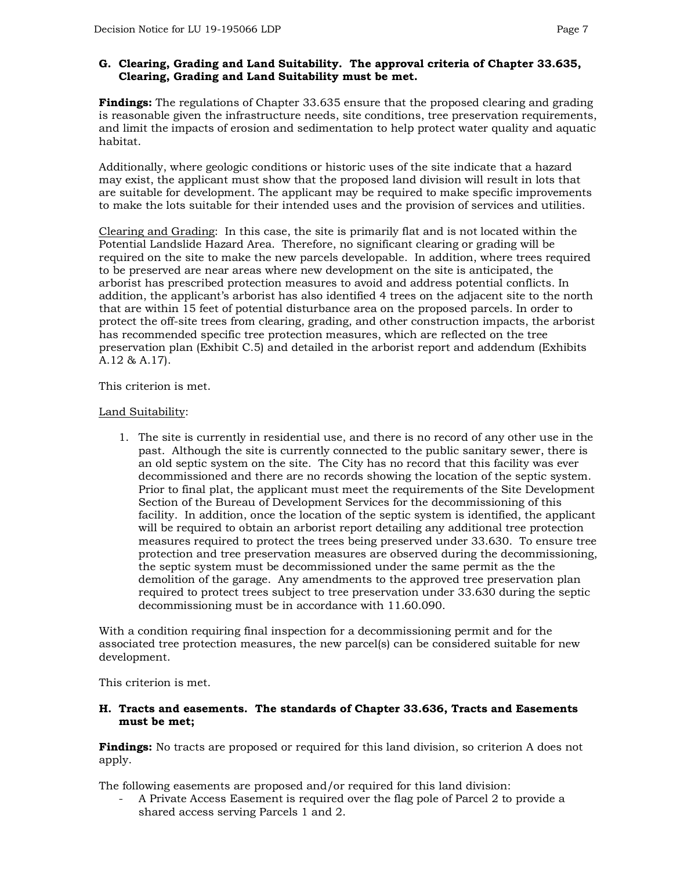## **G. Clearing, Grading and Land Suitability. The approval criteria of Chapter 33.635, Clearing, Grading and Land Suitability must be met.**

**Findings:** The regulations of Chapter 33.635 ensure that the proposed clearing and grading is reasonable given the infrastructure needs, site conditions, tree preservation requirements, and limit the impacts of erosion and sedimentation to help protect water quality and aquatic habitat.

Additionally, where geologic conditions or historic uses of the site indicate that a hazard may exist, the applicant must show that the proposed land division will result in lots that are suitable for development. The applicant may be required to make specific improvements to make the lots suitable for their intended uses and the provision of services and utilities.

Clearing and Grading: In this case, the site is primarily flat and is not located within the Potential Landslide Hazard Area. Therefore, no significant clearing or grading will be required on the site to make the new parcels developable. In addition, where trees required to be preserved are near areas where new development on the site is anticipated, the arborist has prescribed protection measures to avoid and address potential conflicts. In addition, the applicant's arborist has also identified 4 trees on the adjacent site to the north that are within 15 feet of potential disturbance area on the proposed parcels. In order to protect the off-site trees from clearing, grading, and other construction impacts, the arborist has recommended specific tree protection measures, which are reflected on the tree preservation plan (Exhibit C.5) and detailed in the arborist report and addendum (Exhibits A.12 & A.17).

This criterion is met.

### Land Suitability:

1. The site is currently in residential use, and there is no record of any other use in the past. Although the site is currently connected to the public sanitary sewer, there is an old septic system on the site. The City has no record that this facility was ever decommissioned and there are no records showing the location of the septic system. Prior to final plat, the applicant must meet the requirements of the Site Development Section of the Bureau of Development Services for the decommissioning of this facility. In addition, once the location of the septic system is identified, the applicant will be required to obtain an arborist report detailing any additional tree protection measures required to protect the trees being preserved under 33.630. To ensure tree protection and tree preservation measures are observed during the decommissioning, the septic system must be decommissioned under the same permit as the the demolition of the garage. Any amendments to the approved tree preservation plan required to protect trees subject to tree preservation under 33.630 during the septic decommissioning must be in accordance with 11.60.090.

With a condition requiring final inspection for a decommissioning permit and for the associated tree protection measures, the new parcel(s) can be considered suitable for new development.

This criterion is met.

#### **H. Tracts and easements. The standards of Chapter 33.636, Tracts and Easements must be met;**

**Findings:** No tracts are proposed or required for this land division, so criterion A does not apply.

The following easements are proposed and/or required for this land division:

- A Private Access Easement is required over the flag pole of Parcel 2 to provide a shared access serving Parcels 1 and 2.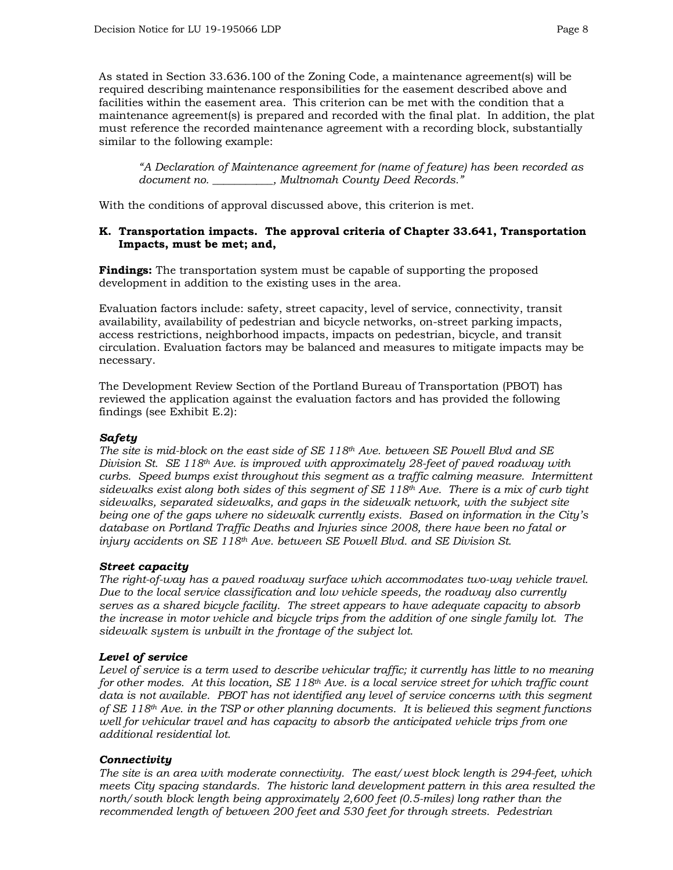As stated in Section 33.636.100 of the Zoning Code, a maintenance agreement(s) will be required describing maintenance responsibilities for the easement described above and facilities within the easement area. This criterion can be met with the condition that a maintenance agreement(s) is prepared and recorded with the final plat. In addition, the plat must reference the recorded maintenance agreement with a recording block, substantially similar to the following example:

*"A Declaration of Maintenance agreement for (name of feature) has been recorded as document no. \_\_\_\_\_\_\_\_\_\_\_, Multnomah County Deed Records."*

With the conditions of approval discussed above, this criterion is met.

## **K. Transportation impacts. The approval criteria of Chapter 33.641, Transportation Impacts, must be met; and,**

**Findings:** The transportation system must be capable of supporting the proposed development in addition to the existing uses in the area.

Evaluation factors include: safety, street capacity, level of service, connectivity, transit availability, availability of pedestrian and bicycle networks, on-street parking impacts, access restrictions, neighborhood impacts, impacts on pedestrian, bicycle, and transit circulation. Evaluation factors may be balanced and measures to mitigate impacts may be necessary.

The Development Review Section of the Portland Bureau of Transportation (PBOT) has reviewed the application against the evaluation factors and has provided the following findings (see Exhibit E.2):

## *Safety*

*The site is mid-block on the east side of SE 118th Ave. between SE Powell Blvd and SE Division St. SE 118th Ave. is improved with approximately 28-feet of paved roadway with curbs. Speed bumps exist throughout this segment as a traffic calming measure. Intermittent sidewalks exist along both sides of this segment of SE 118th Ave. There is a mix of curb tight sidewalks, separated sidewalks, and gaps in the sidewalk network, with the subject site being one of the gaps where no sidewalk currently exists. Based on information in the City's database on Portland Traffic Deaths and Injuries since 2008, there have been no fatal or injury accidents on SE 118th Ave. between SE Powell Blvd. and SE Division St.* 

## *Street capacity*

*The right-of-way has a paved roadway surface which accommodates two-way vehicle travel. Due to the local service classification and low vehicle speeds, the roadway also currently serves as a shared bicycle facility. The street appears to have adequate capacity to absorb the increase in motor vehicle and bicycle trips from the addition of one single family lot. The sidewalk system is unbuilt in the frontage of the subject lot.*

## *Level of service*

*Level of service is a term used to describe vehicular traffic; it currently has little to no meaning for other modes. At this location, SE 118th Ave. is a local service street for which traffic count data is not available. PBOT has not identified any level of service concerns with this segment of SE 118th Ave. in the TSP or other planning documents. It is believed this segment functions well for vehicular travel and has capacity to absorb the anticipated vehicle trips from one additional residential lot.* 

## *Connectivity*

*The site is an area with moderate connectivity. The east/west block length is 294-feet, which meets City spacing standards. The historic land development pattern in this area resulted the north/south block length being approximately 2,600 feet (0.5-miles) long rather than the recommended length of between 200 feet and 530 feet for through streets. Pedestrian*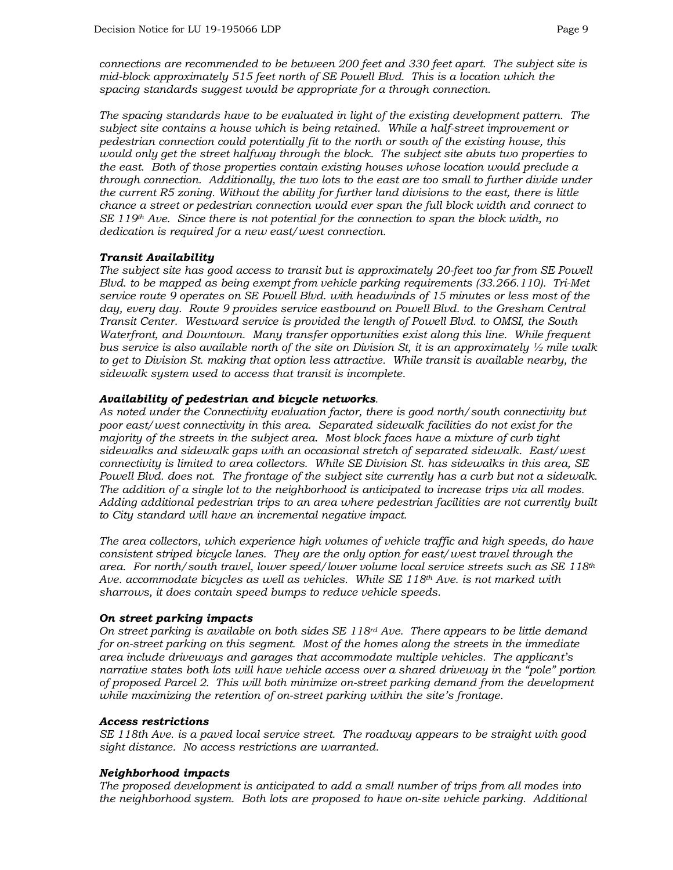*connections are recommended to be between 200 feet and 330 feet apart. The subject site is mid-block approximately 515 feet north of SE Powell Blvd. This is a location which the spacing standards suggest would be appropriate for a through connection.* 

*The spacing standards have to be evaluated in light of the existing development pattern. The subject site contains a house which is being retained. While a half-street improvement or pedestrian connection could potentially fit to the north or south of the existing house, this would only get the street halfway through the block. The subject site abuts two properties to the east. Both of those properties contain existing houses whose location would preclude a through connection. Additionally, the two lots to the east are too small to further divide under the current R5 zoning. Without the ability for further land divisions to the east, there is little chance a street or pedestrian connection would ever span the full block width and connect to SE 119th Ave. Since there is not potential for the connection to span the block width, no dedication is required for a new east/west connection.* 

### *Transit Availability*

*The subject site has good access to transit but is approximately 20-feet too far from SE Powell Blvd. to be mapped as being exempt from vehicle parking requirements (33.266.110). Tri-Met service route 9 operates on SE Powell Blvd. with headwinds of 15 minutes or less most of the day, every day. Route 9 provides service eastbound on Powell Blvd. to the Gresham Central Transit Center. Westward service is provided the length of Powell Blvd. to OMSI, the South Waterfront, and Downtown. Many transfer opportunities exist along this line. While frequent bus service is also available north of the site on Division St, it is an approximately ½ mile walk to get to Division St. making that option less attractive. While transit is available nearby, the sidewalk system used to access that transit is incomplete.* 

### *Availability of pedestrian and bicycle networks.*

*As noted under the Connectivity evaluation factor, there is good north/south connectivity but poor east/west connectivity in this area. Separated sidewalk facilities do not exist for the majority of the streets in the subject area. Most block faces have a mixture of curb tight sidewalks and sidewalk gaps with an occasional stretch of separated sidewalk. East/west connectivity is limited to area collectors. While SE Division St. has sidewalks in this area, SE Powell Blvd. does not. The frontage of the subject site currently has a curb but not a sidewalk. The addition of a single lot to the neighborhood is anticipated to increase trips via all modes. Adding additional pedestrian trips to an area where pedestrian facilities are not currently built to City standard will have an incremental negative impact.* 

*The area collectors, which experience high volumes of vehicle traffic and high speeds, do have consistent striped bicycle lanes. They are the only option for east/west travel through the area. For north/south travel, lower speed/lower volume local service streets such as SE 118th Ave. accommodate bicycles as well as vehicles. While SE 118th Ave. is not marked with sharrows, it does contain speed bumps to reduce vehicle speeds.* 

#### *On street parking impacts*

*On street parking is available on both sides SE 118rd Ave. There appears to be little demand for on-street parking on this segment. Most of the homes along the streets in the immediate area include driveways and garages that accommodate multiple vehicles. The applicant's narrative states both lots will have vehicle access over a shared driveway in the "pole" portion of proposed Parcel 2. This will both minimize on-street parking demand from the development while maximizing the retention of on-street parking within the site's frontage.*

#### *Access restrictions*

*SE 118th Ave. is a paved local service street. The roadway appears to be straight with good sight distance. No access restrictions are warranted.* 

## *Neighborhood impacts*

*The proposed development is anticipated to add a small number of trips from all modes into the neighborhood system. Both lots are proposed to have on-site vehicle parking. Additional*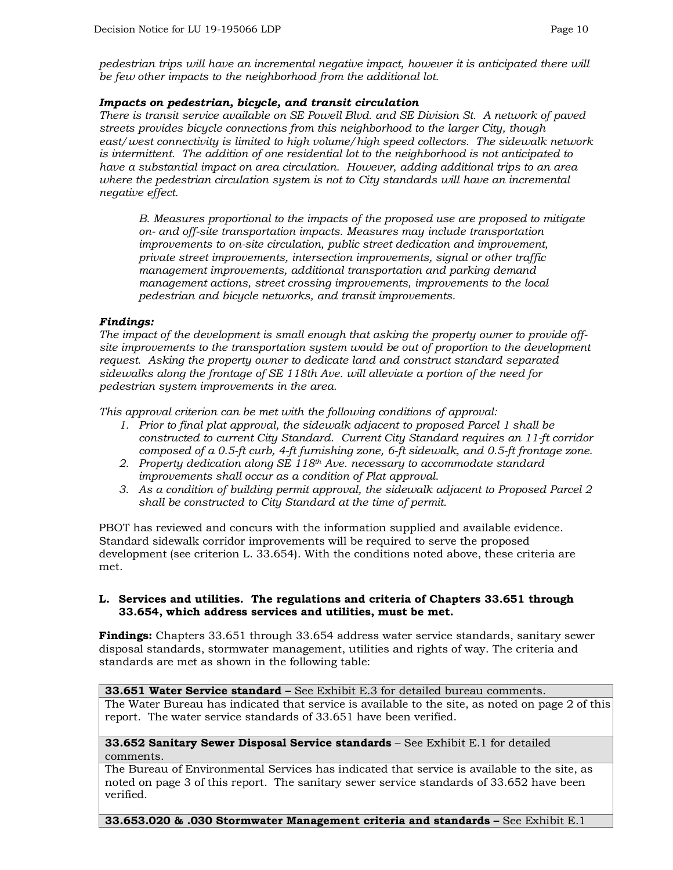*pedestrian trips will have an incremental negative impact, however it is anticipated there will be few other impacts to the neighborhood from the additional lot.* 

## *Impacts on pedestrian, bicycle, and transit circulation*

*There is transit service available on SE Powell Blvd. and SE Division St. A network of paved streets provides bicycle connections from this neighborhood to the larger City, though east/west connectivity is limited to high volume/high speed collectors. The sidewalk network is intermittent. The addition of one residential lot to the neighborhood is not anticipated to have a substantial impact on area circulation. However, adding additional trips to an area where the pedestrian circulation system is not to City standards will have an incremental negative effect.*

*B. Measures proportional to the impacts of the proposed use are proposed to mitigate on- and off-site transportation impacts. Measures may include transportation improvements to on-site circulation, public street dedication and improvement, private street improvements, intersection improvements, signal or other traffic management improvements, additional transportation and parking demand management actions, street crossing improvements, improvements to the local pedestrian and bicycle networks, and transit improvements.*

### *Findings:*

*The impact of the development is small enough that asking the property owner to provide offsite improvements to the transportation system would be out of proportion to the development request. Asking the property owner to dedicate land and construct standard separated sidewalks along the frontage of SE 118th Ave. will alleviate a portion of the need for pedestrian system improvements in the area.* 

*This approval criterion can be met with the following conditions of approval:*

- *1. Prior to final plat approval, the sidewalk adjacent to proposed Parcel 1 shall be constructed to current City Standard. Current City Standard requires an 11-ft corridor composed of a 0.5-ft curb, 4-ft furnishing zone, 6-ft sidewalk, and 0.5-ft frontage zone.*
- *2. Property dedication along SE 118th Ave. necessary to accommodate standard improvements shall occur as a condition of Plat approval.*
- *3. As a condition of building permit approval, the sidewalk adjacent to Proposed Parcel 2 shall be constructed to City Standard at the time of permit.*

PBOT has reviewed and concurs with the information supplied and available evidence. Standard sidewalk corridor improvements will be required to serve the proposed development (see criterion L. 33.654). With the conditions noted above, these criteria are met.

#### **L. Services and utilities. The regulations and criteria of Chapters 33.651 through 33.654, which address services and utilities, must be met.**

**Findings:** Chapters 33.651 through 33.654 address water service standards, sanitary sewer disposal standards, stormwater management, utilities and rights of way. The criteria and standards are met as shown in the following table:

**33.651 Water Service standard –** See Exhibit E.3 for detailed bureau comments.

The Water Bureau has indicated that service is available to the site, as noted on page 2 of this report. The water service standards of 33.651 have been verified.

**33.652 Sanitary Sewer Disposal Service standards** – See Exhibit E.1 for detailed comments.

The Bureau of Environmental Services has indicated that service is available to the site, as noted on page 3 of this report. The sanitary sewer service standards of 33.652 have been verified.

**33.653.020 & .030 Stormwater Management criteria and standards –** See Exhibit E.1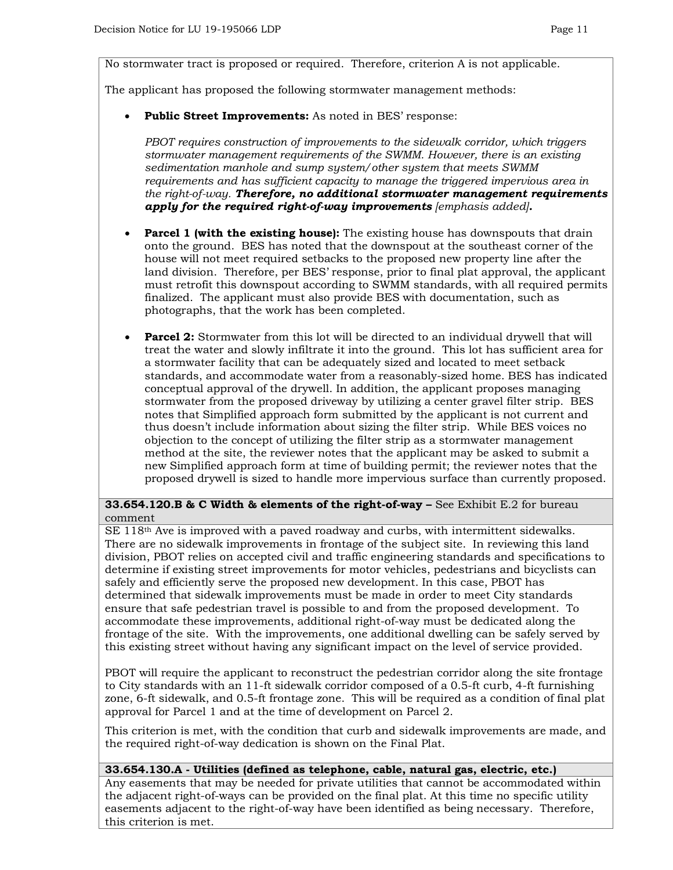No stormwater tract is proposed or required. Therefore, criterion A is not applicable.

The applicant has proposed the following stormwater management methods:

• **Public Street Improvements:** As noted in BES' response:

*PBOT requires construction of improvements to the sidewalk corridor, which triggers stormwater management requirements of the SWMM. However, there is an existing sedimentation manhole and sump system/other system that meets SWMM requirements and has sufficient capacity to manage the triggered impervious area in the right-of-way. Therefore, no additional stormwater management requirements apply for the required right-of-way improvements [emphasis added].*

- **Parcel 1 (with the existing house):** The existing house has downspouts that drain onto the ground. BES has noted that the downspout at the southeast corner of the house will not meet required setbacks to the proposed new property line after the land division. Therefore, per BES' response, prior to final plat approval, the applicant must retrofit this downspout according to SWMM standards, with all required permits finalized. The applicant must also provide BES with documentation, such as photographs, that the work has been completed.
- **Parcel 2:** Stormwater from this lot will be directed to an individual drywell that will treat the water and slowly infiltrate it into the ground. This lot has sufficient area for a stormwater facility that can be adequately sized and located to meet setback standards, and accommodate water from a reasonably-sized home. BES has indicated conceptual approval of the drywell. In addition, the applicant proposes managing stormwater from the proposed driveway by utilizing a center gravel filter strip. BES notes that Simplified approach form submitted by the applicant is not current and thus doesn't include information about sizing the filter strip. While BES voices no objection to the concept of utilizing the filter strip as a stormwater management method at the site, the reviewer notes that the applicant may be asked to submit a new Simplified approach form at time of building permit; the reviewer notes that the proposed drywell is sized to handle more impervious surface than currently proposed.

### **33.654.120.B & C Width & elements of the right-of-way –** See Exhibit E.2 for bureau comment

 $SE$  118<sup>th</sup> Ave is improved with a paved roadway and curbs, with intermittent sidewalks. There are no sidewalk improvements in frontage of the subject site. In reviewing this land division, PBOT relies on accepted civil and traffic engineering standards and specifications to determine if existing street improvements for motor vehicles, pedestrians and bicyclists can safely and efficiently serve the proposed new development. In this case, PBOT has determined that sidewalk improvements must be made in order to meet City standards ensure that safe pedestrian travel is possible to and from the proposed development. To accommodate these improvements, additional right-of-way must be dedicated along the frontage of the site. With the improvements, one additional dwelling can be safely served by this existing street without having any significant impact on the level of service provided.

PBOT will require the applicant to reconstruct the pedestrian corridor along the site frontage to City standards with an 11-ft sidewalk corridor composed of a 0.5-ft curb, 4-ft furnishing zone, 6-ft sidewalk, and 0.5-ft frontage zone. This will be required as a condition of final plat approval for Parcel 1 and at the time of development on Parcel 2.

This criterion is met, with the condition that curb and sidewalk improvements are made, and the required right-of-way dedication is shown on the Final Plat.

#### **33.654.130.A - Utilities (defined as telephone, cable, natural gas, electric, etc.)**

Any easements that may be needed for private utilities that cannot be accommodated within the adjacent right-of-ways can be provided on the final plat. At this time no specific utility easements adjacent to the right-of-way have been identified as being necessary. Therefore, this criterion is met.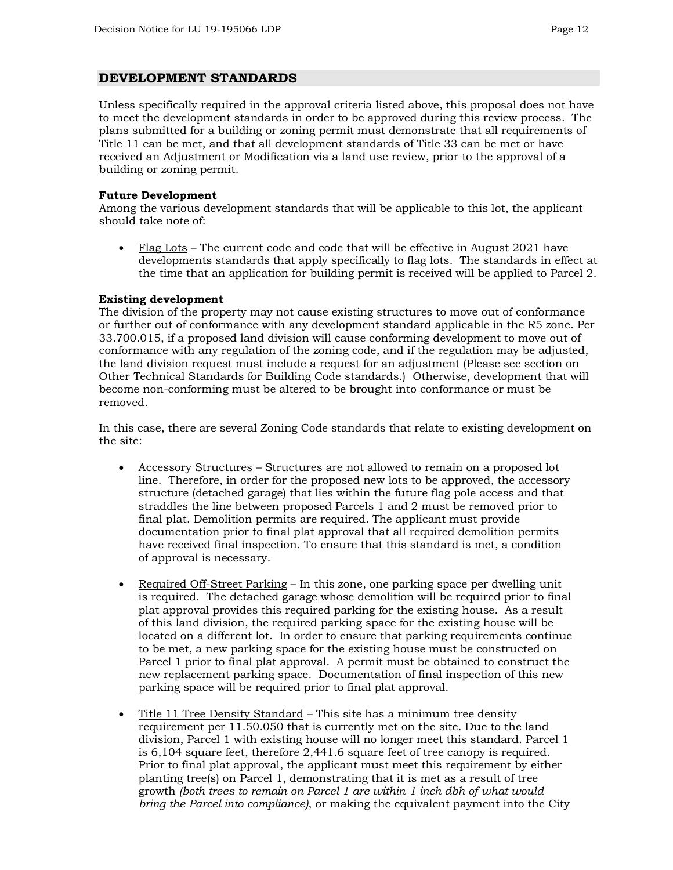## **DEVELOPMENT STANDARDS**

Unless specifically required in the approval criteria listed above, this proposal does not have to meet the development standards in order to be approved during this review process. The plans submitted for a building or zoning permit must demonstrate that all requirements of Title 11 can be met, and that all development standards of Title 33 can be met or have received an Adjustment or Modification via a land use review, prior to the approval of a building or zoning permit.

## **Future Development**

Among the various development standards that will be applicable to this lot, the applicant should take note of:

• Flag Lots – The current code and code that will be effective in August 2021 have developments standards that apply specifically to flag lots. The standards in effect at the time that an application for building permit is received will be applied to Parcel 2.

### **Existing development**

The division of the property may not cause existing structures to move out of conformance or further out of conformance with any development standard applicable in the R5 zone. Per 33.700.015, if a proposed land division will cause conforming development to move out of conformance with any regulation of the zoning code, and if the regulation may be adjusted, the land division request must include a request for an adjustment (Please see section on Other Technical Standards for Building Code standards.) Otherwise, development that will become non-conforming must be altered to be brought into conformance or must be removed.

In this case, there are several Zoning Code standards that relate to existing development on the site:

- Accessory Structures Structures are not allowed to remain on a proposed lot line. Therefore, in order for the proposed new lots to be approved, the accessory structure (detached garage) that lies within the future flag pole access and that straddles the line between proposed Parcels 1 and 2 must be removed prior to final plat. Demolition permits are required. The applicant must provide documentation prior to final plat approval that all required demolition permits have received final inspection. To ensure that this standard is met, a condition of approval is necessary.
- Required Off-Street Parking In this zone, one parking space per dwelling unit is required. The detached garage whose demolition will be required prior to final plat approval provides this required parking for the existing house. As a result of this land division, the required parking space for the existing house will be located on a different lot. In order to ensure that parking requirements continue to be met, a new parking space for the existing house must be constructed on Parcel 1 prior to final plat approval. A permit must be obtained to construct the new replacement parking space. Documentation of final inspection of this new parking space will be required prior to final plat approval.
- Title 11 Tree Density Standard This site has a minimum tree density requirement per 11.50.050 that is currently met on the site. Due to the land division, Parcel 1 with existing house will no longer meet this standard. Parcel 1 is 6,104 square feet, therefore 2,441.6 square feet of tree canopy is required. Prior to final plat approval, the applicant must meet this requirement by either planting tree(s) on Parcel 1, demonstrating that it is met as a result of tree growth *(both trees to remain on Parcel 1 are within 1 inch dbh of what would bring the Parcel into compliance)*, or making the equivalent payment into the City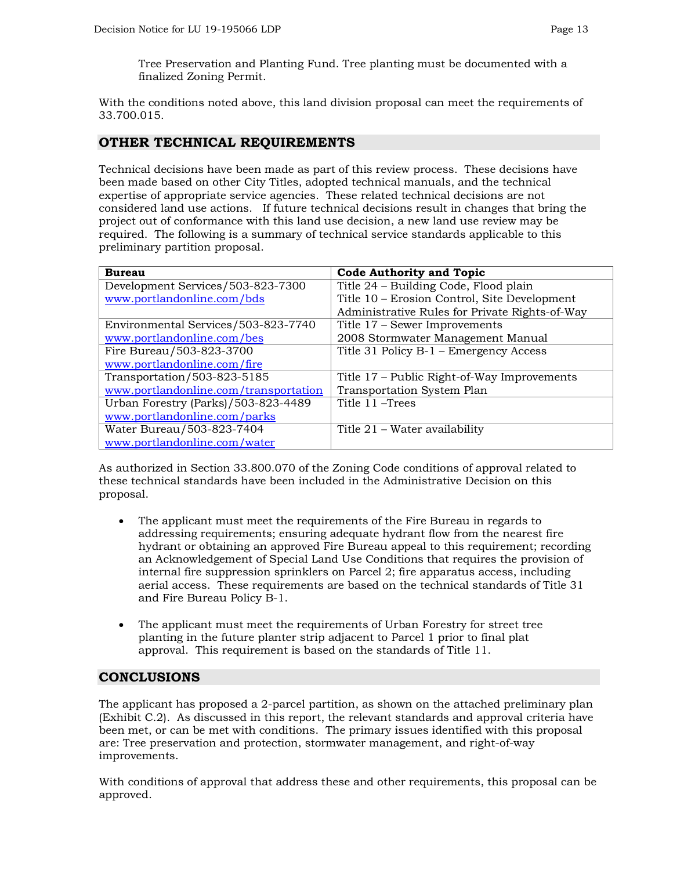Tree Preservation and Planting Fund. Tree planting must be documented with a finalized Zoning Permit.

With the conditions noted above, this land division proposal can meet the requirements of 33.700.015.

## **OTHER TECHNICAL REQUIREMENTS**

Technical decisions have been made as part of this review process. These decisions have been made based on other City Titles, adopted technical manuals, and the technical expertise of appropriate service agencies. These related technical decisions are not considered land use actions. If future technical decisions result in changes that bring the project out of conformance with this land use decision, a new land use review may be required. The following is a summary of technical service standards applicable to this preliminary partition proposal.

| <b>Bureau</b>                         | <b>Code Authority and Topic</b>                |
|---------------------------------------|------------------------------------------------|
| Development Services/503-823-7300     | Title 24 - Building Code, Flood plain          |
| www.portlandonline.com/bds            | Title 10 – Erosion Control, Site Development   |
|                                       | Administrative Rules for Private Rights-of-Way |
| Environmental Services/503-823-7740   | Title 17 – Sewer Improvements                  |
| www.portlandonline.com/bes            | 2008 Stormwater Management Manual              |
| Fire Bureau/503-823-3700              | Title 31 Policy B-1 - Emergency Access         |
| www.portlandonline.com/fire           |                                                |
| Transportation/503-823-5185           | Title 17 – Public Right-of-Way Improvements    |
| www.portlandonline.com/transportation | Transportation System Plan                     |
| Urban Forestry (Parks)/503-823-4489   | Title 11 – Trees                               |
| www.portlandonline.com/parks          |                                                |
| Water Bureau/503-823-7404             | Title 21 – Water availability                  |
| www.portlandonline.com/water          |                                                |

As authorized in Section 33.800.070 of the Zoning Code conditions of approval related to these technical standards have been included in the Administrative Decision on this proposal.

- The applicant must meet the requirements of the Fire Bureau in regards to addressing requirements; ensuring adequate hydrant flow from the nearest fire hydrant or obtaining an approved Fire Bureau appeal to this requirement; recording an Acknowledgement of Special Land Use Conditions that requires the provision of internal fire suppression sprinklers on Parcel 2; fire apparatus access, including aerial access. These requirements are based on the technical standards of Title 31 and Fire Bureau Policy B-1.
- The applicant must meet the requirements of Urban Forestry for street tree planting in the future planter strip adjacent to Parcel 1 prior to final plat approval. This requirement is based on the standards of Title 11.

## **CONCLUSIONS**

The applicant has proposed a 2-parcel partition, as shown on the attached preliminary plan (Exhibit C.2). As discussed in this report, the relevant standards and approval criteria have been met, or can be met with conditions. The primary issues identified with this proposal are: Tree preservation and protection, stormwater management, and right-of-way improvements.

With conditions of approval that address these and other requirements, this proposal can be approved.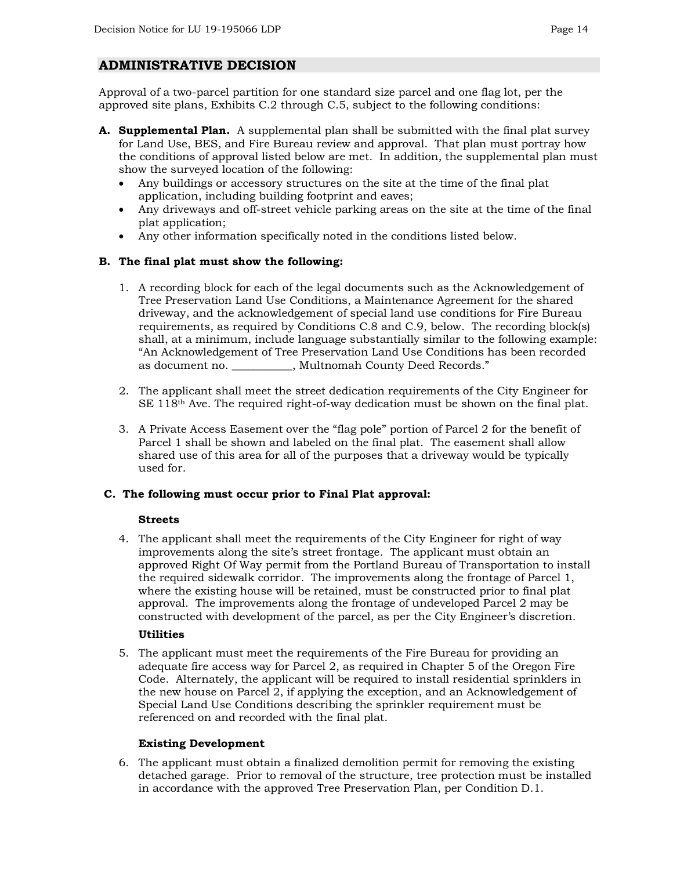## **ADMINISTRATIVE DECISION**

Approval of a two-parcel partition for one standard size parcel and one flag lot, per the approved site plans, Exhibits C.2 through C.5, subject to the following conditions:

- **A. Supplemental Plan.** A supplemental plan shall be submitted with the final plat survey for Land Use, BES, and Fire Bureau review and approval. That plan must portray how the conditions of approval listed below are met. In addition, the supplemental plan must show the surveyed location of the following:
	- Any buildings or accessory structures on the site at the time of the final plat application, including building footprint and eaves;
	- Any driveways and off-street vehicle parking areas on the site at the time of the final plat application;
	- Any other information specifically noted in the conditions listed below.

### **B. The final plat must show the following:**

- 1. A recording block for each of the legal documents such as the Acknowledgement of Tree Preservation Land Use Conditions, a Maintenance Agreement for the shared driveway, and the acknowledgement of special land use conditions for Fire Bureau requirements, as required by Conditions C.8 and C.9, below. The recording block(s) shall, at a minimum, include language substantially similar to the following example: "An Acknowledgement of Tree Preservation Land Use Conditions has been recorded as document no.  $\qquad \qquad$ , Multnomah County Deed Records."
- 2. The applicant shall meet the street dedication requirements of the City Engineer for SE  $118<sup>th</sup>$  Ave. The required right-of-way dedication must be shown on the final plat.
- 3. A Private Access Easement over the "flag pole" portion of Parcel 2 for the benefit of Parcel 1 shall be shown and labeled on the final plat. The easement shall allow shared use of this area for all of the purposes that a driveway would be typically used for.

#### **C. The following must occur prior to Final Plat approval:**

#### **Streets**

4. The applicant shall meet the requirements of the City Engineer for right of way improvements along the site's street frontage. The applicant must obtain an approved Right Of Way permit from the Portland Bureau of Transportation to install the required sidewalk corridor. The improvements along the frontage of Parcel 1, where the existing house will be retained, must be constructed prior to final plat approval. The improvements along the frontage of undeveloped Parcel 2 may be constructed with development of the parcel, as per the City Engineer's discretion.

## **Utilities**

5. The applicant must meet the requirements of the Fire Bureau for providing an adequate fire access way for Parcel 2, as required in Chapter 5 of the Oregon Fire Code. Alternately, the applicant will be required to install residential sprinklers in the new house on Parcel 2, if applying the exception, and an Acknowledgement of Special Land Use Conditions describing the sprinkler requirement must be referenced on and recorded with the final plat.

## **Existing Development**

6. The applicant must obtain a finalized demolition permit for removing the existing detached garage. Prior to removal of the structure, tree protection must be installed in accordance with the approved Tree Preservation Plan, per Condition D.1.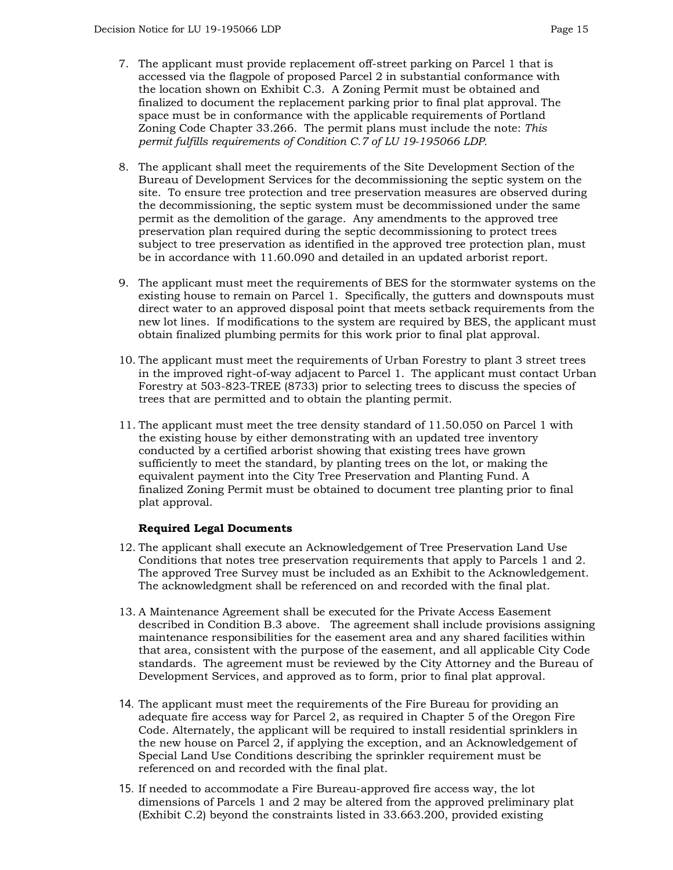- 7. The applicant must provide replacement off-street parking on Parcel 1 that is accessed via the flagpole of proposed Parcel 2 in substantial conformance with the location shown on Exhibit C.3. A Zoning Permit must be obtained and finalized to document the replacement parking prior to final plat approval. The space must be in conformance with the applicable requirements of Portland Zoning Code Chapter 33.266. The permit plans must include the note: *This permit fulfills requirements of Condition C.7 of LU 19-195066 LDP.*
- 8. The applicant shall meet the requirements of the Site Development Section of the Bureau of Development Services for the decommissioning the septic system on the site. To ensure tree protection and tree preservation measures are observed during the decommissioning, the septic system must be decommissioned under the same permit as the demolition of the garage. Any amendments to the approved tree preservation plan required during the septic decommissioning to protect trees subject to tree preservation as identified in the approved tree protection plan, must be in accordance with 11.60.090 and detailed in an updated arborist report.
- 9. The applicant must meet the requirements of BES for the stormwater systems on the existing house to remain on Parcel 1. Specifically, the gutters and downspouts must direct water to an approved disposal point that meets setback requirements from the new lot lines. If modifications to the system are required by BES, the applicant must obtain finalized plumbing permits for this work prior to final plat approval.
- 10. The applicant must meet the requirements of Urban Forestry to plant 3 street trees in the improved right-of-way adjacent to Parcel 1. The applicant must contact Urban Forestry at 503-823-TREE (8733) prior to selecting trees to discuss the species of trees that are permitted and to obtain the planting permit.
- 11. The applicant must meet the tree density standard of 11.50.050 on Parcel 1 with the existing house by either demonstrating with an updated tree inventory conducted by a certified arborist showing that existing trees have grown sufficiently to meet the standard, by planting trees on the lot, or making the equivalent payment into the City Tree Preservation and Planting Fund. A finalized Zoning Permit must be obtained to document tree planting prior to final plat approval.

#### **Required Legal Documents**

- 12. The applicant shall execute an Acknowledgement of Tree Preservation Land Use Conditions that notes tree preservation requirements that apply to Parcels 1 and 2. The approved Tree Survey must be included as an Exhibit to the Acknowledgement. The acknowledgment shall be referenced on and recorded with the final plat.
- 13. A Maintenance Agreement shall be executed for the Private Access Easement described in Condition B.3 above. The agreement shall include provisions assigning maintenance responsibilities for the easement area and any shared facilities within that area, consistent with the purpose of the easement, and all applicable City Code standards. The agreement must be reviewed by the City Attorney and the Bureau of Development Services, and approved as to form, prior to final plat approval.
- 14. The applicant must meet the requirements of the Fire Bureau for providing an adequate fire access way for Parcel 2, as required in Chapter 5 of the Oregon Fire Code. Alternately, the applicant will be required to install residential sprinklers in the new house on Parcel 2, if applying the exception, and an Acknowledgement of Special Land Use Conditions describing the sprinkler requirement must be referenced on and recorded with the final plat.
- 15. If needed to accommodate a Fire Bureau-approved fire access way, the lot dimensions of Parcels 1 and 2 may be altered from the approved preliminary plat (Exhibit C.2) beyond the constraints listed in 33.663.200, provided existing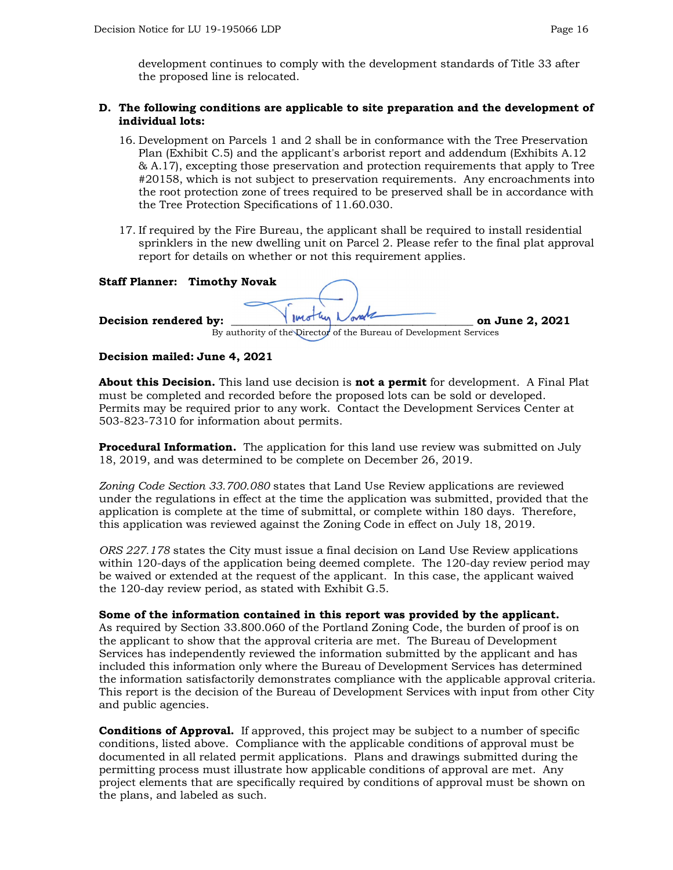development continues to comply with the development standards of Title 33 after the proposed line is relocated.

#### **D. The following conditions are applicable to site preparation and the development of individual lots:**

- 16. Development on Parcels 1 and 2 shall be in conformance with the Tree Preservation Plan (Exhibit C.5) and the applicant's arborist report and addendum (Exhibits A.12 & A.17), excepting those preservation and protection requirements that apply to Tree #20158, which is not subject to preservation requirements. Any encroachments into the root protection zone of trees required to be preserved shall be in accordance with the Tree Protection Specifications of 11.60.030.
- 17. If required by the Fire Bureau, the applicant shall be required to install residential sprinklers in the new dwelling unit on Parcel 2. Please refer to the final plat approval report for details on whether or not this requirement applies.

| <b>Staff Planner: Timothy Novak</b> |                                                                    |                 |
|-------------------------------------|--------------------------------------------------------------------|-----------------|
| Decision rendered by:               | Vinothin Norsk                                                     | on June 2, 2021 |
|                                     | By authority of the Director of the Bureau of Development Services |                 |

### **Decision mailed: June 4, 2021**

**About this Decision.** This land use decision is **not a permit** for development. A Final Plat must be completed and recorded before the proposed lots can be sold or developed. Permits may be required prior to any work. Contact the Development Services Center at 503-823-7310 for information about permits.

**Procedural Information.** The application for this land use review was submitted on July 18, 2019, and was determined to be complete on December 26, 2019.

*Zoning Code Section 33.700.080* states that Land Use Review applications are reviewed under the regulations in effect at the time the application was submitted, provided that the application is complete at the time of submittal, or complete within 180 days. Therefore, this application was reviewed against the Zoning Code in effect on July 18, 2019.

*ORS 227.178* states the City must issue a final decision on Land Use Review applications within 120-days of the application being deemed complete. The 120-day review period may be waived or extended at the request of the applicant. In this case, the applicant waived the 120-day review period, as stated with Exhibit G.5.

#### **Some of the information contained in this report was provided by the applicant.**

As required by Section 33.800.060 of the Portland Zoning Code, the burden of proof is on the applicant to show that the approval criteria are met. The Bureau of Development Services has independently reviewed the information submitted by the applicant and has included this information only where the Bureau of Development Services has determined the information satisfactorily demonstrates compliance with the applicable approval criteria. This report is the decision of the Bureau of Development Services with input from other City and public agencies.

**Conditions of Approval.** If approved, this project may be subject to a number of specific conditions, listed above. Compliance with the applicable conditions of approval must be documented in all related permit applications. Plans and drawings submitted during the permitting process must illustrate how applicable conditions of approval are met. Any project elements that are specifically required by conditions of approval must be shown on the plans, and labeled as such.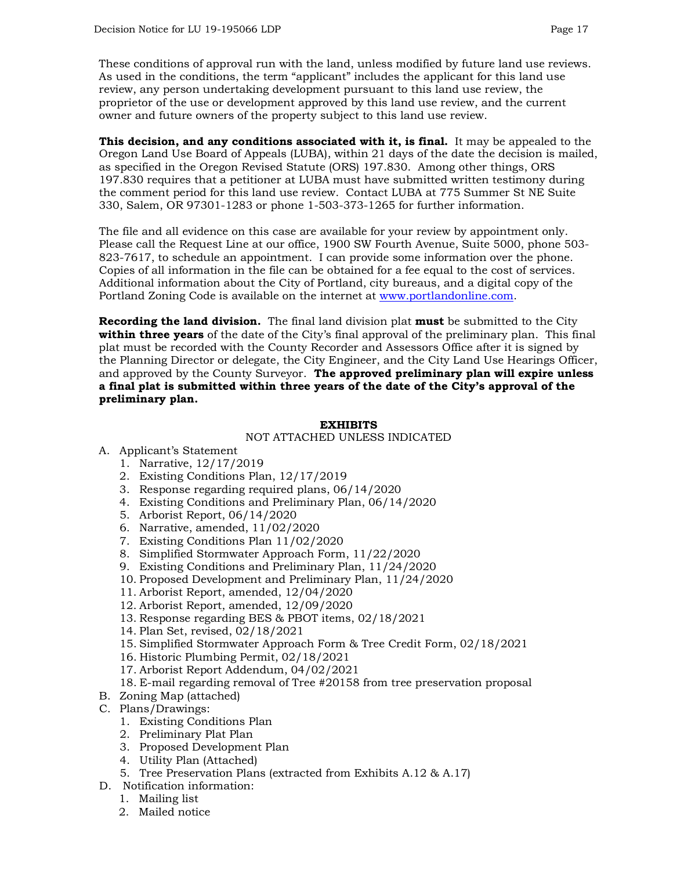These conditions of approval run with the land, unless modified by future land use reviews. As used in the conditions, the term "applicant" includes the applicant for this land use review, any person undertaking development pursuant to this land use review, the proprietor of the use or development approved by this land use review, and the current owner and future owners of the property subject to this land use review.

**This decision, and any conditions associated with it, is final.** It may be appealed to the Oregon Land Use Board of Appeals (LUBA), within 21 days of the date the decision is mailed, as specified in the Oregon Revised Statute (ORS) 197.830. Among other things, ORS 197.830 requires that a petitioner at LUBA must have submitted written testimony during the comment period for this land use review. Contact LUBA at 775 Summer St NE Suite 330, Salem, OR 97301-1283 or phone 1-503-373-1265 for further information.

The file and all evidence on this case are available for your review by appointment only. Please call the Request Line at our office, 1900 SW Fourth Avenue, Suite 5000, phone 503- 823-7617, to schedule an appointment. I can provide some information over the phone. Copies of all information in the file can be obtained for a fee equal to the cost of services. Additional information about the City of Portland, city bureaus, and a digital copy of the Portland Zoning Code is available on the internet at [www.portlandonline.com.](http://www.portlandonline.com/)

**Recording the land division.** The final land division plat **must** be submitted to the City **within three years** of the date of the City's final approval of the preliminary plan. This final plat must be recorded with the County Recorder and Assessors Office after it is signed by the Planning Director or delegate, the City Engineer, and the City Land Use Hearings Officer, and approved by the County Surveyor. **The approved preliminary plan will expire unless a final plat is submitted within three years of the date of the City's approval of the preliminary plan.**

### **EXHIBITS**

#### NOT ATTACHED UNLESS INDICATED

- A. Applicant's Statement
	- 1. Narrative, 12/17/2019
	- 2. Existing Conditions Plan, 12/17/2019
	- 3. Response regarding required plans, 06/14/2020
	- 4. Existing Conditions and Preliminary Plan, 06/14/2020
	- 5. Arborist Report, 06/14/2020
	- 6. Narrative, amended, 11/02/2020
	- 7. Existing Conditions Plan 11/02/2020
	- 8. Simplified Stormwater Approach Form, 11/22/2020
	- 9. Existing Conditions and Preliminary Plan, 11/24/2020
	- 10. Proposed Development and Preliminary Plan, 11/24/2020
	- 11. Arborist Report, amended, 12/04/2020
	- 12. Arborist Report, amended, 12/09/2020
	- 13. Response regarding BES & PBOT items, 02/18/2021
	- 14. Plan Set, revised, 02/18/2021
	- 15. Simplified Stormwater Approach Form & Tree Credit Form, 02/18/2021
	- 16. Historic Plumbing Permit, 02/18/2021
	- 17. Arborist Report Addendum, 04/02/2021
	- 18. E-mail regarding removal of Tree #20158 from tree preservation proposal
- B. Zoning Map (attached)
- C. Plans/Drawings:
	- 1. Existing Conditions Plan
	- 2. Preliminary Plat Plan
	- 3. Proposed Development Plan
	- 4. Utility Plan (Attached)
	- 5. Tree Preservation Plans (extracted from Exhibits A.12 & A.17)
- D. Notification information:
	- 1. Mailing list
	- 2. Mailed notice